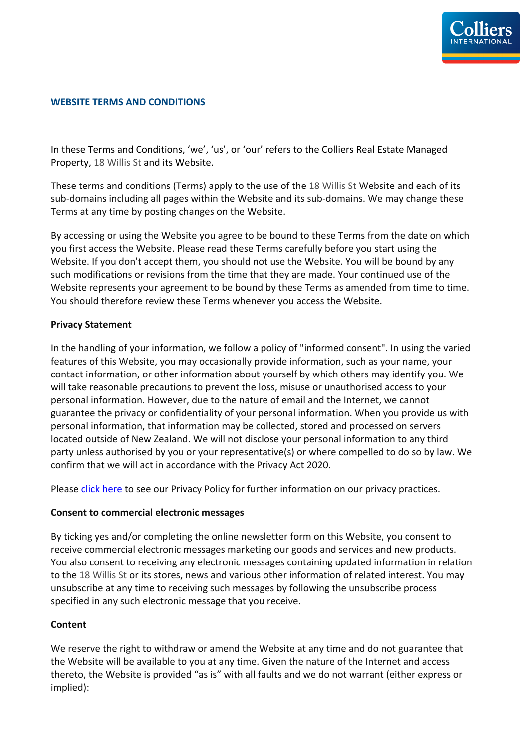

## **WEBSITE TERMS AND CONDITIONS**

In these Terms and Conditions, 'we', 'us', or 'our' refers to the Colliers Real Estate Managed Property, 18 Willis St and its Website.

These terms and conditions (Terms) apply to the use of the 18 Willis St Website and each of its sub-domains including all pages within the Website and its sub-domains. We may change these Terms at any time by posting changes on the Website.

By accessing or using the Website you agree to be bound to these Terms from the date on which you first access the Website. Please read these Terms carefully before you start using the Website. If you don't accept them, you should not use the Website. You will be bound by any such modifications or revisions from the time that they are made. Your continued use of the Website represents your agreement to be bound by these Terms as amended from time to time. You should therefore review these Terms whenever you access the Website.

## **Privacy Statement**

In the handling of your information, we follow a policy of "informed consent". In using the varied features of this Website, you may occasionally provide information, such as your name, your contact information, or other information about yourself by which others may identify you. We will take reasonable precautions to prevent the loss, misuse or unauthorised access to your personal information. However, due to the nature of email and the Internet, we cannot guarantee the privacy or confidentiality of your personal information. When you provide us with personal information, that information may be collected, stored and processed on servers located outside of New Zealand. We will not disclose your personal information to any third party unless authorised by you or your representative(s) or where compelled to do so by law. We confirm that we will act in accordance with the Privacy Act 2020.

Please click here to see our Privacy Policy for further information on our privacy practices.

## **Consent to commercial electronic messages**

By ticking yes and/or completing the online newsletter form on this Website, you consent to receive commercial electronic messages marketing our goods and services and new products. You also consent to receiving any electronic messages containing updated information in relation to the 18 Willis St or its stores, news and various other information of related interest. You may unsubscribe at any time to receiving such messages by following the unsubscribe process specified in any such electronic message that you receive.

## **Content**

We reserve the right to withdraw or amend the Website at any time and do not guarantee that the Website will be available to you at any time. Given the nature of the Internet and access thereto, the Website is provided "as is" with all faults and we do not warrant (either express or implied):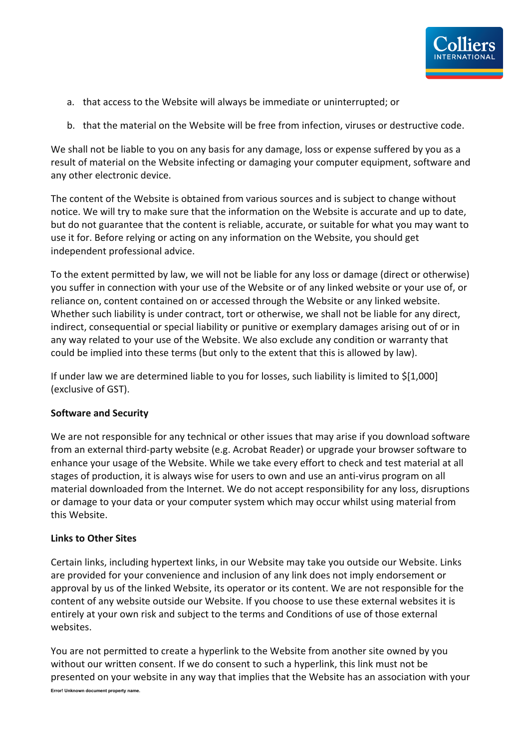

- a. that access to the Website will always be immediate or uninterrupted; or
- b. that the material on the Website will be free from infection, viruses or destructive code.

We shall not be liable to you on any basis for any damage, loss or expense suffered by you as a result of material on the Website infecting or damaging your computer equipment, software and any other electronic device.

The content of the Website is obtained from various sources and is subject to change without notice. We will try to make sure that the information on the Website is accurate and up to date, but do not guarantee that the content is reliable, accurate, or suitable for what you may want to use it for. Before relying or acting on any information on the Website, you should get independent professional advice.

To the extent permitted by law, we will not be liable for any loss or damage (direct or otherwise) you suffer in connection with your use of the Website or of any linked website or your use of, or reliance on, content contained on or accessed through the Website or any linked website. Whether such liability is under contract, tort or otherwise, we shall not be liable for any direct, indirect, consequential or special liability or punitive or exemplary damages arising out of or in any way related to your use of the Website. We also exclude any condition or warranty that could be implied into these terms (but only to the extent that this is allowed by law).

If under law we are determined liable to you for losses, such liability is limited to \$[1,000] (exclusive of GST).

## **Software and Security**

We are not responsible for any technical or other issues that may arise if you download software from an external third-party website (e.g. Acrobat Reader) or upgrade your browser software to enhance your usage of the Website. While we take every effort to check and test material at all stages of production, it is always wise for users to own and use an anti-virus program on all material downloaded from the Internet. We do not accept responsibility for any loss, disruptions or damage to your data or your computer system which may occur whilst using material from this Website.

## **Links to Other Sites**

Certain links, including hypertext links, in our Website may take you outside our Website. Links are provided for your convenience and inclusion of any link does not imply endorsement or approval by us of the linked Website, its operator or its content. We are not responsible for the content of any website outside our Website. If you choose to use these external websites it is entirely at your own risk and subject to the terms and Conditions of use of those external websites.

You are not permitted to create a hyperlink to the Website from another site owned by you without our written consent. If we do consent to such a hyperlink, this link must not be presented on your website in any way that implies that the Website has an association with your

**Error! Unknown document property name.**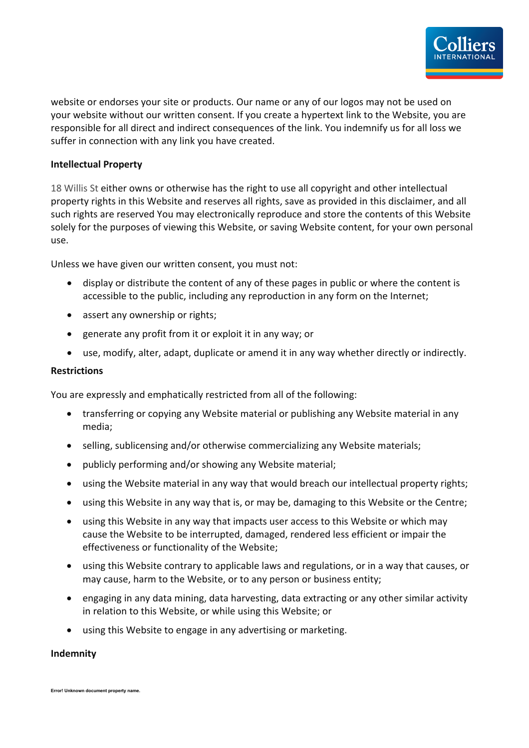website or endorses your site or products. Our name or any of our logos may not be used on your website without our written consent. If you create a hypertext link to the Website, you are responsible for all direct and indirect consequences of the link. You indemnify us for all loss we suffer in connection with any link you have created.

## **Intellectual Property**

18 Willis St either owns or otherwise has the right to use all copyright and other intellectual property rights in this Website and reserves all rights, save as provided in this disclaimer, and all such rights are reserved You may electronically reproduce and store the contents of this Website solely for the purposes of viewing this Website, or saving Website content, for your own personal use.

Unless we have given our written consent, you must not:

- display or distribute the content of any of these pages in public or where the content is accessible to the public, including any reproduction in any form on the Internet;
- assert any ownership or rights;
- generate any profit from it or exploit it in any way; or
- use, modify, alter, adapt, duplicate or amend it in any way whether directly or indirectly.

# **Restrictions**

You are expressly and emphatically restricted from all of the following:

- transferring or copying any Website material or publishing any Website material in any media;
- selling, sublicensing and/or otherwise commercializing any Website materials;
- publicly performing and/or showing any Website material;
- using the Website material in any way that would breach our intellectual property rights;
- using this Website in any way that is, or may be, damaging to this Website or the Centre;
- using this Website in any way that impacts user access to this Website or which may cause the Website to be interrupted, damaged, rendered less efficient or impair the effectiveness or functionality of the Website;
- using this Website contrary to applicable laws and regulations, or in a way that causes, or may cause, harm to the Website, or to any person or business entity;
- engaging in any data mining, data harvesting, data extracting or any other similar activity in relation to this Website, or while using this Website; or
- using this Website to engage in any advertising or marketing.

#### **Indemnity**